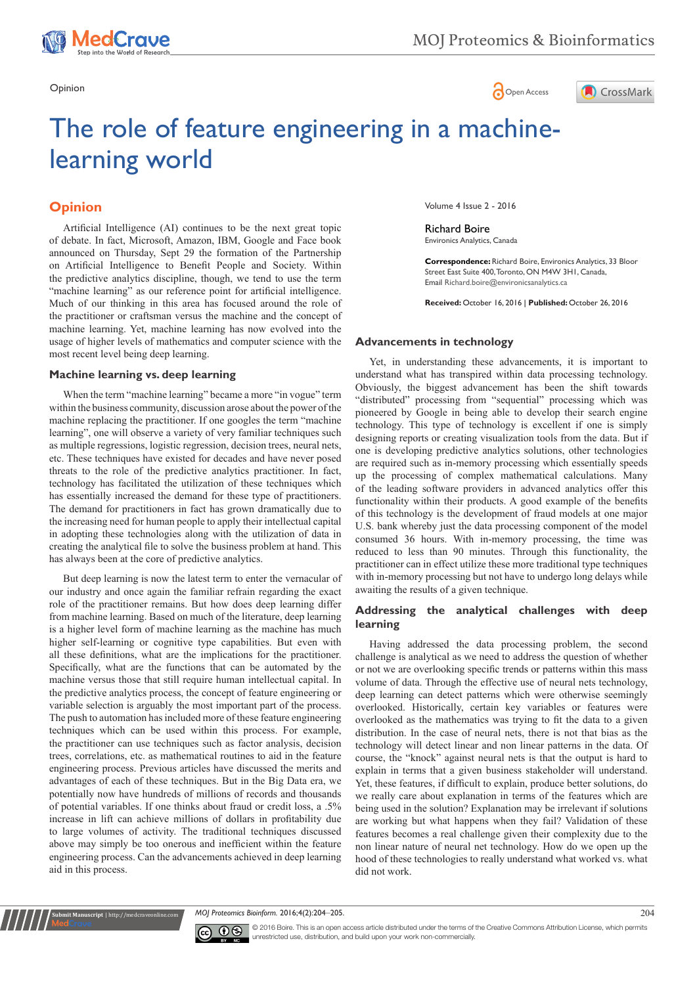





# The role of feature engineering in a machinelearning world

# **Opinion**

usage of higher levels of mathematics and computer science with the most recent level being deep learning. Artificial Intelligence (AI) continues to be the next great topic of debate. In fact, Microsoft, Amazon, IBM, Google and Face book announced on Thursday, Sept 29 the formation of the Partnership on Artificial Intelligence to Benefit People and Society. Within the predictive analytics discipline, though, we tend to use the term "machine learning" as our reference point for artificial intelligence. Much of our thinking in this area has focused around the role of the practitioner or craftsman versus the machine and the concept of machine learning. Yet, machine learning has now evolved into the

#### **Machine learning vs. deep learning**

When the term "machine learning" became a more "in vogue" term within the business community, discussion arose about the power of the machine replacing the practitioner. If one googles the term "machine learning", one will observe a variety of very familiar techniques such as multiple regressions, logistic regression, decision trees, neural nets, etc. These techniques have existed for decades and have never posed threats to the role of the predictive analytics practitioner. In fact, technology has facilitated the utilization of these techniques which has essentially increased the demand for these type of practitioners. The demand for practitioners in fact has grown dramatically due to the increasing need for human people to apply their intellectual capital in adopting these technologies along with the utilization of data in creating the analytical file to solve the business problem at hand. This has always been at the core of predictive analytics.

But deep learning is now the latest term to enter the vernacular of our industry and once again the familiar refrain regarding the exact role of the practitioner remains. But how does deep learning differ from machine learning. Based on much of the literature, deep learning is a higher level form of machine learning as the machine has much higher self-learning or cognitive type capabilities. But even with all these definitions, what are the implications for the practitioner. Specifically, what are the functions that can be automated by the machine versus those that still require human intellectual capital. In the predictive analytics process, the concept of feature engineering or variable selection is arguably the most important part of the process. The push to automation has included more of these feature engineering techniques which can be used within this process. For example, the practitioner can use techniques such as factor analysis, decision trees, correlations, etc. as mathematical routines to aid in the feature engineering process. Previous articles have discussed the merits and advantages of each of these techniques. But in the Big Data era, we potentially now have hundreds of millions of records and thousands of potential variables. If one thinks about fraud or credit loss, a .5% increase in lift can achieve millions of dollars in profitability due to large volumes of activity. The traditional techniques discussed above may simply be too onerous and inefficient within the feature engineering process. Can the advancements achieved in deep learning aid in this process.

Volume 4 Issue 2 - 2016

Richard Boire Environics Analytics, Canada

**Correspondence:** Richard Boire, Environics Analytics, 33 Bloor Street East Suite 400, Toronto, ON M4W 3H1, Canada, Email Richard.boire@environicsanalytics.ca

**Received:** October 16, 2016 | **Published:** October 26, 2016

## **Advancements in technology**

Yet, in understanding these advancements, it is important to understand what has transpired within data processing technology. Obviously, the biggest advancement has been the shift towards "distributed" processing from "sequential" processing which was pioneered by Google in being able to develop their search engine technology. This type of technology is excellent if one is simply designing reports or creating visualization tools from the data. But if one is developing predictive analytics solutions, other technologies are required such as in-memory processing which essentially speeds up the processing of complex mathematical calculations. Many of the leading software providers in advanced analytics offer this functionality within their products. A good example of the benefits of this technology is the development of fraud models at one major U.S. bank whereby just the data processing component of the model consumed 36 hours. With in-memory processing, the time was reduced to less than 90 minutes. Through this functionality, the practitioner can in effect utilize these more traditional type techniques with in-memory processing but not have to undergo long delays while awaiting the results of a given technique.

#### **Addressing the analytical challenges with deep learning**

Having addressed the data processing problem, the second challenge is analytical as we need to address the question of whether or not we are overlooking specific trends or patterns within this mass volume of data. Through the effective use of neural nets technology, deep learning can detect patterns which were otherwise seemingly overlooked. Historically, certain key variables or features were overlooked as the mathematics was trying to fit the data to a given distribution. In the case of neural nets, there is not that bias as the technology will detect linear and non linear patterns in the data. Of course, the "knock" against neural nets is that the output is hard to explain in terms that a given business stakeholder will understand. Yet, these features, if difficult to explain, produce better solutions, do we really care about explanation in terms of the features which are being used in the solution? Explanation may be irrelevant if solutions are working but what happens when they fail? Validation of these features becomes a real challenge given their complexity due to the non linear nature of neural net technology. How do we open up the hood of these technologies to really understand what worked vs. what did not work.

*MOJ Proteomics Bioinform.* 2016;4(2):204‒205. 204



**nit Manuscript** | http://medcraveonline.c

© 2016 Boire. This is an open access article distributed under the terms of the [Creative Commons Attribution License](https://creativecommons.org/licenses/by-nc/4.0/), which permits unrestricted use, distribution, and build upon your work non-commercially.